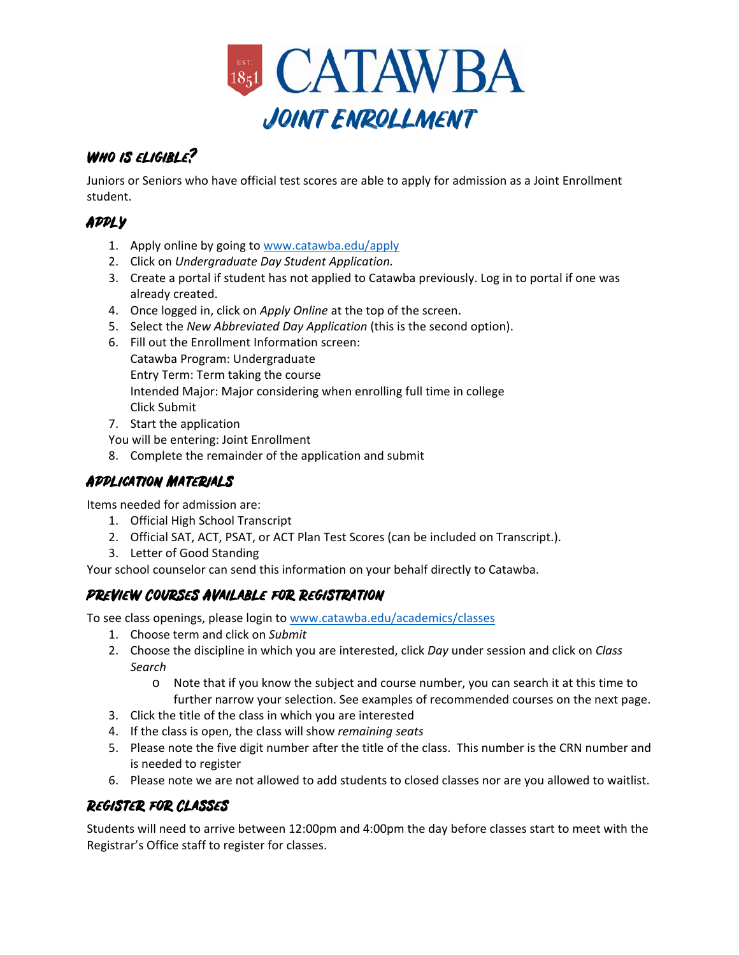

# WHO IS ELIGIBLE?

Juniors or Seniors who have official test scores are able to apply for admission as a Joint Enrollment student.

# Apply

- 1. Apply online by going to www.catawba.edu/apply
- 2. Click on *Undergraduate Day Student Application.*
- 3. Create a portal if student has not applied to Catawba previously. Log in to portal if one was already created.
- 4. Once logged in, click on *Apply Online* at the top of the screen.
- 5. Select the *New Abbreviated Day Application* (this is the second option).
- 6. Fill out the Enrollment Information screen: Catawba Program: Undergraduate Entry Term: Term taking the course Intended Major: Major considering when enrolling full time in college Click Submit
- 7. Start the application

You will be entering: Joint Enrollment

8. Complete the remainder of the application and submit

## Application Materials

Items needed for admission are:

- 1. Official High School Transcript
- 2. Official SAT, ACT, PSAT, or ACT Plan Test Scores (can be included on Transcript.).
- 3. Letter of Good Standing

Your school counselor can send this information on your behalf directly to Catawba.

#### Preview Courses Available for Registration

To see class openings, please login to www.catawba.edu/academics/classes

- 1. Choose term and click on *Submit*
- 2. Choose the discipline in which you are interested, click *Day* under session and click on *Class Search*
	- o Note that if you know the subject and course number, you can search it at this time to further narrow your selection. See examples of recommended courses on the next page.
- 3. Click the title of the class in which you are interested
- 4. If the class is open, the class will show *remaining seats*
- 5. Please note the five digit number after the title of the class. This number is the CRN number and is needed to register
- 6. Please note we are not allowed to add students to closed classes nor are you allowed to waitlist.

### Register for Classes

Students will need to arrive between 12:00pm and 4:00pm the day before classes start to meet with the Registrar's Office staff to register for classes.